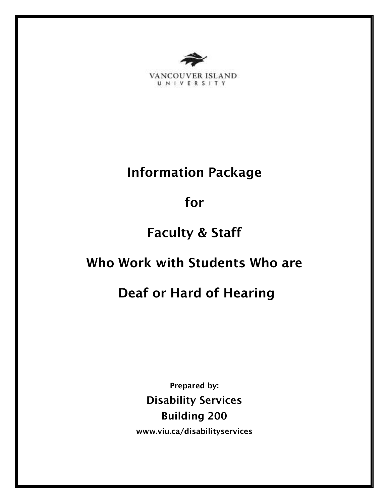

VANCOUVER ISLAND UNIVERSITY

# Information Package

for

# Faculty & Staff

# Who Work with Students Who are

# Deaf or Hard of Hearing

Prepared by: Disability Services Building 200 www.viu.ca/disabilityservices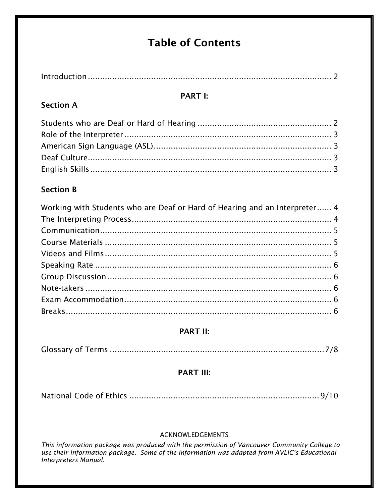# **Table of Contents**

# **PART I:**

# **Section A**

# **Section B**

| Working with Students who are Deaf or Hard of Hearing and an Interpreter 4 |  |
|----------------------------------------------------------------------------|--|
|                                                                            |  |
|                                                                            |  |
|                                                                            |  |
|                                                                            |  |
|                                                                            |  |
|                                                                            |  |
|                                                                            |  |
|                                                                            |  |
|                                                                            |  |

# **PART II:**

|--|

## **PART III:**

|--|

## **ACKNOWLEDGEMENTS**

This information package was produced with the permission of Vancouver Community College to<br>use their information package. Some of the information was adapted from AVLIC's Educational<br>Interpreters Manual.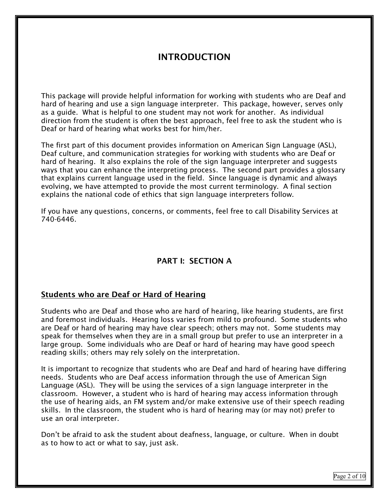# INTRODUCTION

This package will provide helpful information for working with students who are Deaf and hard of hearing and use a sign language interpreter. This package, however, serves only as a guide. What is helpful to one student may not work for another. As individual direction from the student is often the best approach, feel free to ask the student who is Deaf or hard of hearing what works best for him/her.

The first part of this document provides information on American Sign Language (ASL), Deaf culture, and communication strategies for working with students who are Deaf or hard of hearing. It also explains the role of the sign language interpreter and suggests ways that you can enhance the interpreting process. The second part provides a glossary that explains current language used in the field. Since language is dynamic and always evolving, we have attempted to provide the most current terminology. A final section explains the national code of ethics that sign language interpreters follow.

If you have any questions, concerns, or comments, feel free to call Disability Services at 740-6446.

## PART I: SECTION A

#### Students who are Deaf or Hard of Hearing

Students who are Deaf and those who are hard of hearing, like hearing students, are first and foremost individuals. Hearing loss varies from mild to profound. Some students who are Deaf or hard of hearing may have clear speech; others may not. Some students may speak for themselves when they are in a small group but prefer to use an interpreter in a large group. Some individuals who are Deaf or hard of hearing may have good speech reading skills; others may rely solely on the interpretation.

It is important to recognize that students who are Deaf and hard of hearing have differing needs. Students who are Deaf access information through the use of American Sign Language (ASL). They will be using the services of a sign language interpreter in the classroom. However, a student who is hard of hearing may access information through the use of hearing aids, an FM system and/or make extensive use of their speech reading skills. In the classroom, the student who is hard of hearing may (or may not) prefer to use an oral interpreter.

Don't be afraid to ask the student about deafness, language, or culture. When in doubt as to how to act or what to say, just ask.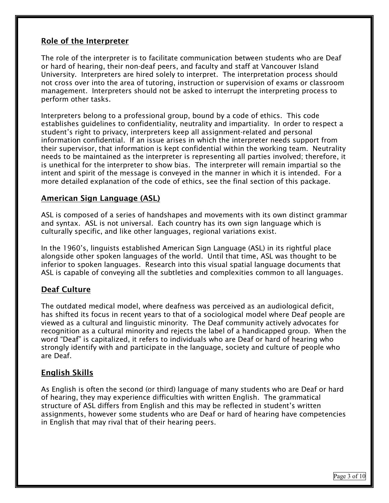## Role of the Interpreter

The role of the interpreter is to facilitate communication between students who are Deaf or hard of hearing, their non-deaf peers, and faculty and staff at Vancouver Island University. Interpreters are hired solely to interpret. The interpretation process should not cross over into the area of tutoring, instruction or supervision of exams or classroom management. Interpreters should not be asked to interrupt the interpreting process to perform other tasks.

Interpreters belong to a professional group, bound by a code of ethics. This code establishes guidelines to confidentiality, neutrality and impartiality. In order to respect a student's right to privacy, interpreters keep all assignment-related and personal information confidential. If an issue arises in which the interpreter needs support from their supervisor, that information is kept confidential within the working team. Neutrality needs to be maintained as the interpreter is representing all parties involved; therefore, it is unethical for the interpreter to show bias. The interpreter will remain impartial so the intent and spirit of the message is conveyed in the manner in which it is intended. For a more detailed explanation of the code of ethics, see the final section of this package.

## American Sign Language (ASL)

ASL is composed of a series of handshapes and movements with its own distinct grammar and syntax. ASL is not universal. Each country has its own sign language which is culturally specific, and like other languages, regional variations exist.

In the 1960's, linguists established American Sign Language (ASL) in its rightful place alongside other spoken languages of the world. Until that time, ASL was thought to be inferior to spoken languages. Research into this visual spatial language documents that ASL is capable of conveying all the subtleties and complexities common to all languages.

## Deaf Culture

The outdated medical model, where deafness was perceived as an audiological deficit, has shifted its focus in recent years to that of a sociological model where Deaf people are viewed as a cultural and linguistic minority. The Deaf community actively advocates for recognition as a cultural minority and rejects the label of a handicapped group. When the word "Deaf" is capitalized, it refers to individuals who are Deaf or hard of hearing who strongly identify with and participate in the language, society and culture of people who are Deaf.

### English Skills

As English is often the second (or third) language of many students who are Deaf or hard of hearing, they may experience difficulties with written English. The grammatical structure of ASL differs from English and this may be reflected in student's written assignments, however some students who are Deaf or hard of hearing have competencies in English that may rival that of their hearing peers.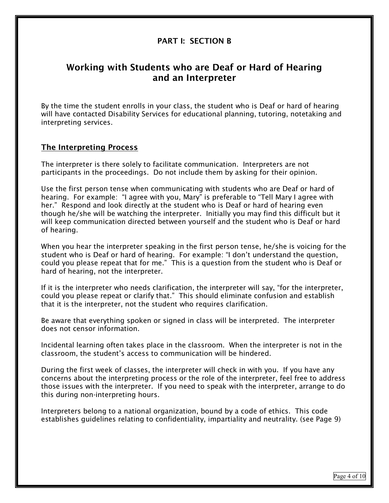## PART I: SECTION B

## Working with Students who are Deaf or Hard of Hearing and an Interpreter

By the time the student enrolls in your class, the student who is Deaf or hard of hearing will have contacted Disability Services for educational planning, tutoring, notetaking and interpreting services.

#### The Interpreting Process

The interpreter is there solely to facilitate communication. Interpreters are not participants in the proceedings. Do not include them by asking for their opinion.

Use the first person tense when communicating with students who are Deaf or hard of hearing. For example: "I agree with you, Mary" is preferable to "Tell Mary I agree with her." Respond and look directly at the student who is Deaf or hard of hearing even though he/she will be watching the interpreter. Initially you may find this difficult but it will keep communication directed between yourself and the student who is Deaf or hard of hearing.

When you hear the interpreter speaking in the first person tense, he/she is voicing for the student who is Deaf or hard of hearing. For example: "I don't understand the question, could you please repeat that for me." This is a question from the student who is Deaf or hard of hearing, not the interpreter.

If it is the interpreter who needs clarification, the interpreter will say, "for the interpreter, could you please repeat or clarify that." This should eliminate confusion and establish that it is the interpreter, not the student who requires clarification.

Be aware that everything spoken or signed in class will be interpreted. The interpreter does not censor information.

Incidental learning often takes place in the classroom. When the interpreter is not in the classroom, the student's access to communication will be hindered.

During the first week of classes, the interpreter will check in with you. If you have any concerns about the interpreting process or the role of the interpreter, feel free to address those issues with the interpreter. If you need to speak with the interpreter, arrange to do this during non-interpreting hours.

Interpreters belong to a national organization, bound by a code of ethics. This code establishes guidelines relating to confidentiality, impartiality and neutrality. (see Page 9)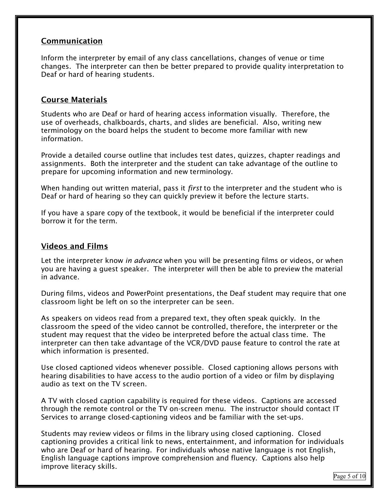## Communication

Inform the interpreter by email of any class cancellations, changes of venue or time changes. The interpreter can then be better prepared to provide quality interpretation to Deaf or hard of hearing students.

## Course Materials

Students who are Deaf or hard of hearing access information visually. Therefore, the use of overheads, chalkboards, charts, and slides are beneficial. Also, writing new terminology on the board helps the student to become more familiar with new information.

Provide a detailed course outline that includes test dates, quizzes, chapter readings and assignments. Both the interpreter and the student can take advantage of the outline to prepare for upcoming information and new terminology.

When handing out written material, pass it *first* to the interpreter and the student who is Deaf or hard of hearing so they can quickly preview it before the lecture starts.

If you have a spare copy of the textbook, it would be beneficial if the interpreter could borrow it for the term.

### Videos and Films

Let the interpreter know in *advance* when you will be presenting films or videos, or when you are having a guest speaker. The interpreter will then be able to preview the material in advance.

During films, videos and PowerPoint presentations, the Deaf student may require that one classroom light be left on so the interpreter can be seen.

As speakers on videos read from a prepared text, they often speak quickly. In the classroom the speed of the video cannot be controlled, therefore, the interpreter or the student may request that the video be interpreted before the actual class time. The interpreter can then take advantage of the VCR/DVD pause feature to control the rate at which information is presented.

Use closed captioned videos whenever possible. Closed captioning allows persons with hearing disabilities to have access to the audio portion of a video or film by displaying audio as text on the TV screen.

A TV with closed caption capability is required for these videos. Captions are accessed through the remote control or the TV on-screen menu. The instructor should contact IT Services to arrange closed-captioning videos and be familiar with the set-ups.

Students may review videos or films in the library using closed captioning. Closed captioning provides a critical link to news, entertainment, and information for individuals who are Deaf or hard of hearing. For individuals whose native language is not English, English language captions improve comprehension and fluency. Captions also help improve literacy skills.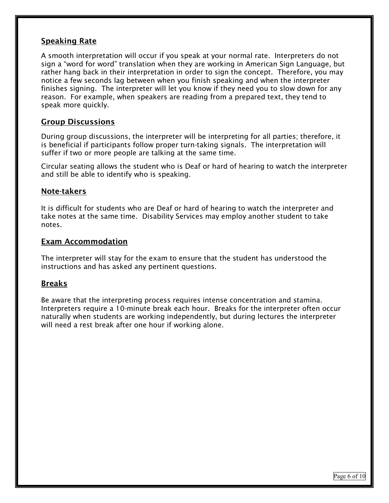## **Speaking Rate**

A smooth interpretation will occur if you speak at your normal rate. Interpreters do not sign a "word for word" translation when they are working in American Sign Language, but rather hang back in their interpretation in order to sign the concept. Therefore, you may notice a few seconds lag between when you finish speaking and when the interpreter finishes signing. The interpreter will let you know if they need you to slow down for any reason. For example, when speakers are reading from a prepared text, they tend to speak more quickly.

#### Group Discussions

During group discussions, the interpreter will be interpreting for all parties; therefore, it is beneficial if participants follow proper turn-taking signals. The interpretation will suffer if two or more people are talking at the same time.

Circular seating allows the student who is Deaf or hard of hearing to watch the interpreter and still be able to identify who is speaking.

#### Note-takers

It is difficult for students who are Deaf or hard of hearing to watch the interpreter and take notes at the same time. Disability Services may employ another student to take notes.

#### Exam Accommodation

The interpreter will stay for the exam to ensure that the student has understood the instructions and has asked any pertinent questions.

### Breaks

Be aware that the interpreting process requires intense concentration and stamina. Interpreters require a 10-minute break each hour. Breaks for the interpreter often occur naturally when students are working independently, but during lectures the interpreter will need a rest break after one hour if working alone.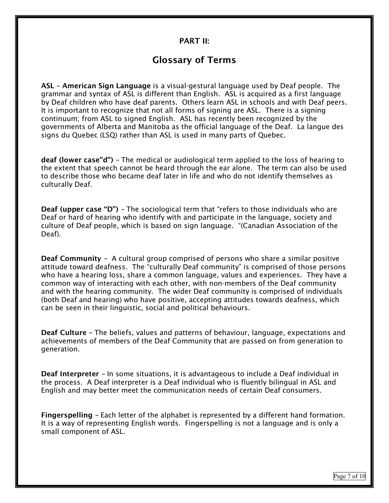#### PART II:

# Glossary of Terms

ASL – American Sign Language is a visual-gestural language used by Deaf people. The grammar and syntax of ASL is different than English. ASL is acquired as a first language by Deaf children who have deaf parents. Others learn ASL in schools and with Deaf peers. It is important to recognize that not all forms of signing are ASL. There is a signing continuum; from ASL to signed English. ASL has recently been recognized by the governments of Alberta and Manitoba as the official language of the Deaf. La langue des signs du Quebec (LSQ) rather than ASL is used in many parts of Quebec.

deaf (lower case"d") – The medical or audiological term applied to the loss of hearing to the extent that speech cannot be heard through the ear alone. The term can also be used to describe those who became deaf later in life and who do not identify themselves as culturally Deaf.

Deaf (upper case "D") – The sociological term that "refers to those individuals who are Deaf or hard of hearing who identify with and participate in the language, society and culture of Deaf people, which is based on sign language. "(Canadian Association of the Deaf).

Deaf Community – A cultural group comprised of persons who share a similar positive attitude toward deafness. The "culturally Deaf community" is comprised of those persons who have a hearing loss, share a common language, values and experiences. They have a common way of interacting with each other, with non-members of the Deaf community and with the hearing community. The wider Deaf community is comprised of individuals (both Deaf and hearing) who have positive, accepting attitudes towards deafness, which can be seen in their linguistic, social and political behaviours.

Deaf Culture – The beliefs, values and patterns of behaviour, language, expectations and achievements of members of the Deaf Community that are passed on from generation to generation.

Deaf Interpreter - In some situations, it is advantageous to include a Deaf individual in the process. A Deaf interpreter is a Deaf individual who is fluently bilingual in ASL and English and may better meet the communication needs of certain Deaf consumers.

Fingerspelling – Each letter of the alphabet is represented by a different hand formation. It is a way of representing English words. Fingerspelling is not a language and is only a small component of ASL.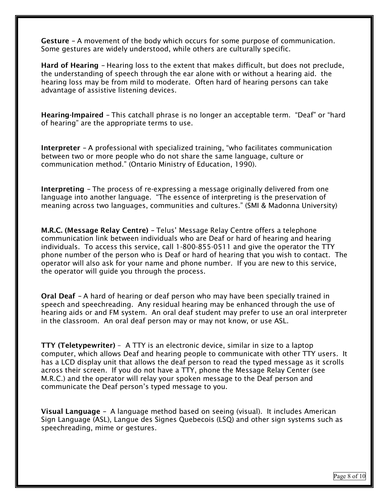Gesture – A movement of the body which occurs for some purpose of communication. Some gestures are widely understood, while others are culturally specific.

Hard of Hearing – Hearing loss to the extent that makes difficult, but does not preclude, the understanding of speech through the ear alone with or without a hearing aid. the hearing loss may be from mild to moderate. Often hard of hearing persons can take advantage of assistive listening devices.

Hearing-Impaired – This catchall phrase is no longer an acceptable term. "Deaf" or "hard of hearing" are the appropriate terms to use.

Interpreter – A professional with specialized training, "who facilitates communication between two or more people who do not share the same language, culture or communication method." (Ontario Ministry of Education, 1990).

Interpreting – The process of re-expressing a message originally delivered from one language into another language. "The essence of interpreting is the preservation of meaning across two languages, communities and cultures." (SMI & Madonna University)

M.R.C. (Message Relay Centre) – Telus' Message Relay Centre offers a telephone communication link between individuals who are Deaf or hard of hearing and hearing individuals. To access this service, call 1-800-855-0511 and give the operator the TTY phone number of the person who is Deaf or hard of hearing that you wish to contact. The operator will also ask for your name and phone number. If you are new to this service, the operator will guide you through the process.

Oral Deaf – A hard of hearing or deaf person who may have been specially trained in speech and speechreading. Any residual hearing may be enhanced through the use of hearing aids or and FM system. An oral deaf student may prefer to use an oral interpreter in the classroom. An oral deaf person may or may not know, or use ASL.

TTY (Teletypewriter) – A TTY is an electronic device, similar in size to a laptop computer, which allows Deaf and hearing people to communicate with other TTY users. It has a LCD display unit that allows the deaf person to read the typed message as it scrolls across their screen. If you do not have a TTY, phone the Message Relay Center (see M.R.C.) and the operator will relay your spoken message to the Deaf person and communicate the Deaf person's typed message to you.

Visual Language – A language method based on seeing (visual). It includes American Sign Language (ASL), Langue des Signes Quebecois (LSQ) and other sign systems such as speechreading, mime or gestures.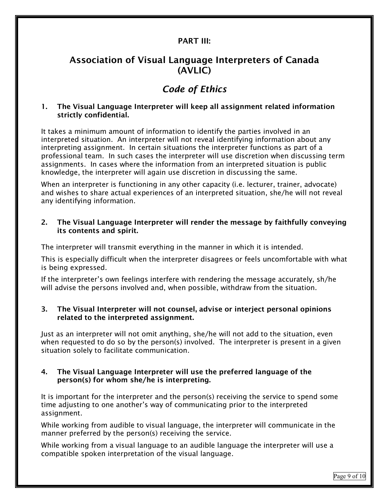## PART III:

# Association of Visual Language Interpreters of Canada (AVLIC)

# Code of Ethics

1. The Visual Language Interpreter will keep all assignment related information strictly confidential.

It takes a minimum amount of information to identify the parties involved in an interpreted situation. An interpreter will not reveal identifying information about any interpreting assignment. In certain situations the interpreter functions as part of a professional team. In such cases the interpreter will use discretion when discussing term assignments. In cases where the information from an interpreted situation is public knowledge, the interpreter will again use discretion in discussing the same.

When an interpreter is functioning in any other capacity (i.e. lecturer, trainer, advocate) and wishes to share actual experiences of an interpreted situation, she/he will not reveal any identifying information.

#### 2. The Visual Language Interpreter will render the message by faithfully conveying its contents and spirit.

The interpreter will transmit everything in the manner in which it is intended.

This is especially difficult when the interpreter disagrees or feels uncomfortable with what is being expressed.

If the interpreter's own feelings interfere with rendering the message accurately, sh/he will advise the persons involved and, when possible, withdraw from the situation.

#### 3. The Visual Interpreter will not counsel, advise or interject personal opinions related to the interpreted assignment.

Just as an interpreter will not omit anything, she/he will not add to the situation, even when requested to do so by the person(s) involved. The interpreter is present in a given situation solely to facilitate communication.

#### 4. The Visual Language Interpreter will use the preferred language of the person(s) for whom she/he is interpreting.

It is important for the interpreter and the person(s) receiving the service to spend some time adjusting to one another's way of communicating prior to the interpreted assignment.

While working from audible to visual language, the interpreter will communicate in the manner preferred by the person(s) receiving the service.

While working from a visual language to an audible language the interpreter will use a compatible spoken interpretation of the visual language.